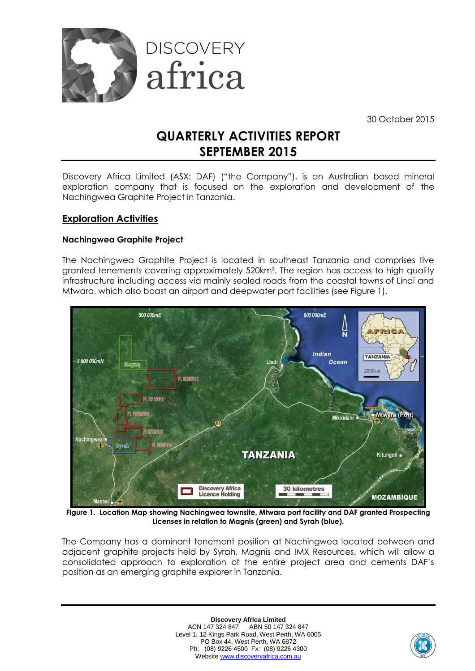

30 October 2015

# **QUARTERLY ACTIVITIES REPORT SEPTEMBER 2015**

Discovery Africa Limited (ASX: DAF) ("the Company"), is an Australian based mineral exploration company that is focused on the exploration and development of the Nachingwea Graphite Project in Tanzania.

# **Exploration Activities**

# **Nachingwea Graphite Project**

The Nachingwea Graphite Project is located in southeast Tanzania and comprises five granted tenements covering approximately 520km². The region has access to high quality infrastructure including access via mainly sealed roads from the coastal towns of Lindi and Mtwara, which also boast an airport and deepwater port facilities (see Figure 1).



**Figure 1. Location Map showing Nachingwea townsite, Mtwara port facility and DAF granted Prospecting Licenses in relation to Magnis (green) and Syrah (blue).**

The Company has a dominant tenement position at Nachingwea located between and adjacent graphite projects held by Syrah, Magnis and IMX Resources, which will allow a consolidated approach to exploration of the entire project area and cements DAF's position as an emerging graphite explorer in Tanzania.

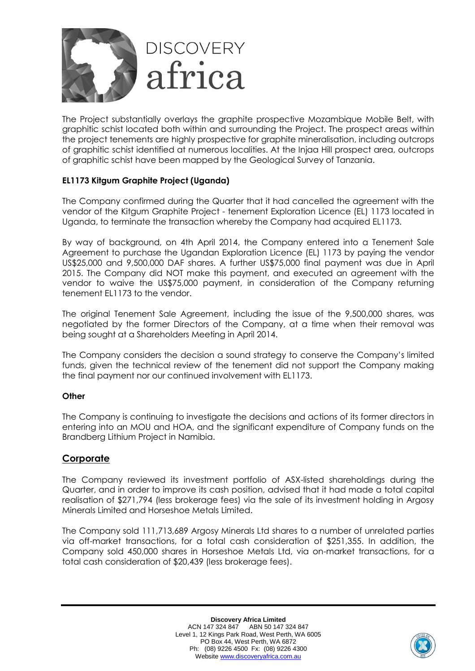

The Project substantially overlays the graphite prospective Mozambique Mobile Belt, with graphitic schist located both within and surrounding the Project. The prospect areas within the project tenements are highly prospective for graphite mineralisation, including outcrops of graphitic schist identified at numerous localities. At the Injaa Hill prospect area, outcrops of graphitic schist have been mapped by the Geological Survey of Tanzania.

# **EL1173 Kitgum Graphite Project (Uganda)**

The Company confirmed during the Quarter that it had cancelled the agreement with the vendor of the Kitgum Graphite Project - tenement Exploration Licence (EL) 1173 located in Uganda, to terminate the transaction whereby the Company had acquired EL1173.

By way of background, on 4th April 2014, the Company entered into a Tenement Sale Agreement to purchase the Ugandan Exploration Licence (EL) 1173 by paying the vendor US\$25,000 and 9,500,000 DAF shares. A further US\$75,000 final payment was due in April 2015. The Company did NOT make this payment, and executed an agreement with the vendor to waive the US\$75,000 payment, in consideration of the Company returning tenement EL1173 to the vendor.

The original Tenement Sale Agreement, including the issue of the 9,500,000 shares, was negotiated by the former Directors of the Company, at a time when their removal was being sought at a Shareholders Meeting in April 2014.

The Company considers the decision a sound strategy to conserve the Company's limited funds, given the technical review of the tenement did not support the Company making the final payment nor our continued involvement with EL1173.

### **Other**

The Company is continuing to investigate the decisions and actions of its former directors in entering into an MOU and HOA, and the significant expenditure of Company funds on the Brandberg Lithium Project in Namibia.

# **Corporate**

The Company reviewed its investment portfolio of ASX-listed shareholdings during the Quarter, and in order to improve its cash position, advised that it had made a total capital realisation of \$271,794 (less brokerage fees) via the sale of its investment holding in Argosy Minerals Limited and Horseshoe Metals Limited.

The Company sold 111,713,689 Argosy Minerals Ltd shares to a number of unrelated parties via off-market transactions, for a total cash consideration of \$251,355. In addition, the Company sold 450,000 shares in Horseshoe Metals Ltd, via on-market transactions, for a total cash consideration of \$20,439 (less brokerage fees).